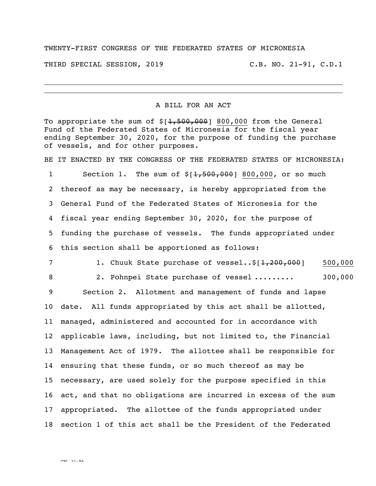## TWENTY-FIRST CONGRESS OF THE FEDERATED STATES OF MICRONESIA

THIRD SPECIAL SESSION, 2019 C.B. NO. 21-91, C.D.1

## A BILL FOR AN ACT

To appropriate the sum of  $$[1,500,000]$  800,000 from the General Fund of the Federated States of Micronesia for the fiscal year ending September 30, 2020, for the purpose of funding the purchase of vessels, and for other purposes.

BE IT ENACTED BY THE CONGRESS OF THE FEDERATED STATES OF MICRONESIA:

1 Section 1. The sum of  $\frac{1}{5}$ [1,500,000] 800,000, or so much thereof as may be necessary, is hereby appropriated from the General Fund of the Federated States of Micronesia for the fiscal year ending September 30, 2020, for the purpose of funding the purchase of vessels. The funds appropriated under this section shall be apportioned as follows:

7 1. Chuuk State purchase of vessel..\$[1,200,000] 500,000

8 2. Pohnpei State purchase of vessel ......... 300,000

 Section 2. Allotment and management of funds and lapse date. All funds appropriated by this act shall be allotted, managed, administered and accounted for in accordance with applicable laws, including, but not limited to, the Financial Management Act of 1979. The allottee shall be responsible for ensuring that these funds, or so much thereof as may be necessary, are used solely for the purpose specified in this act, and that no obligations are incurred in excess of the sum appropriated. The allottee of the funds appropriated under section 1 of this act shall be the President of the Federated